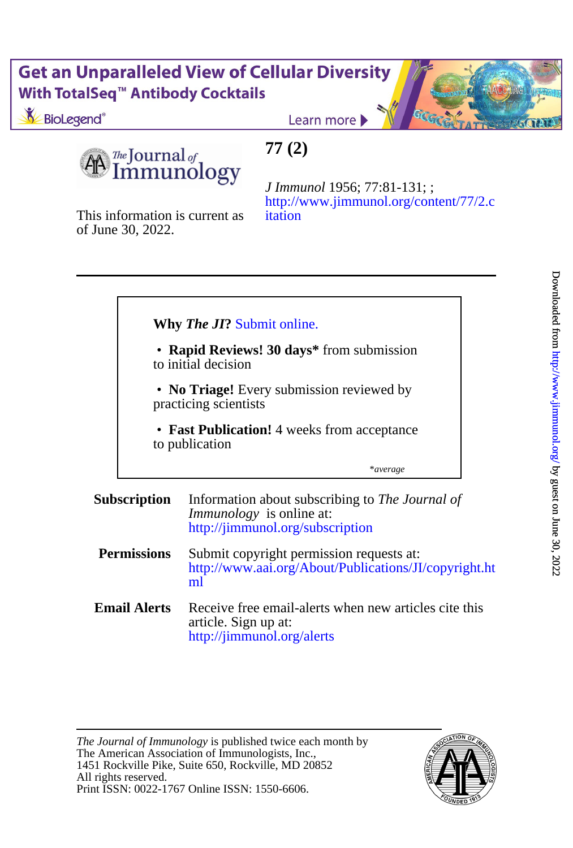# **Get an Unparalleled View of Cellular Diversity** With TotalSeq<sup>™</sup> Antibody Cocktails

BioLegend<sup>®</sup>

Learn more

The Journal of nmunology

This information is current as

of June 30, 2022.

## **77 (2)**

[itation](http://www.jimmunol.org/content/77/2.citation) [http://www.jimmunol.org/content/77/2.c](http://www.jimmunol.org/content/77/2.citation) *J Immunol* 1956; 77:81-131; ;

\**average* to publication • **Fast Publication!** 4 weeks from acceptance Ī practicing scientists • **No Triage!** Every submission reviewed by to initial decision • **Rapid Reviews! 30 days\*** from submission **Why** *The JI***?** [Submit online.](https://ji.msubmit.net) **Subscription** <http://jimmunol.org/subscription> *Immunology* is online at: Information about subscribing to *The Journal of* **Permissions** [ml](http://www.aai.org/About/Publications/JI/copyright.html) [http://www.aai.org/About/Publications/JI/copyright.ht](http://www.aai.org/About/Publications/JI/copyright.html) Submit copyright permission requests at: **Email Alerts** article. Sign up at: Receive free email-alerts when new articles cite this

<http://jimmunol.org/alerts>

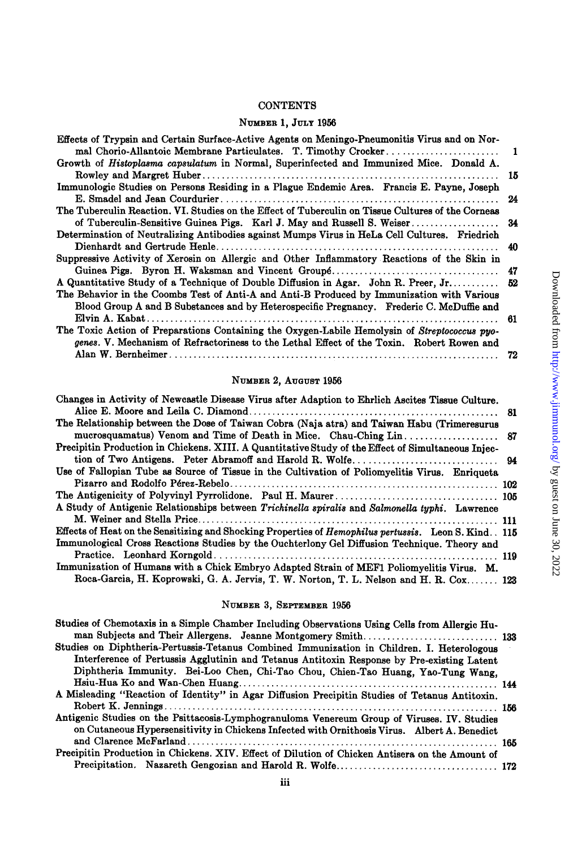### CONTENTS

## **N~MEE~ 1, JULY** 1956

| Effects of Trypsin and Certain Surface-Active Agents on Meningo-Pneumonitis Virus and on Nor-<br>- 1 |  |
|------------------------------------------------------------------------------------------------------|--|
| Growth of Histoplasma capsulatum in Normal, Superinfected and Immunized Mice. Donald A.              |  |
| 15                                                                                                   |  |
| Immunologic Studies on Persons Residing in a Plague Endemic Area. Francis E. Payne, Joseph           |  |
| 24                                                                                                   |  |
| The Tuberculin Reaction. VI. Studies on the Effect of Tuberculin on Tissue Cultures of the Corneas   |  |
| of Tuberculin-Sensitive Guinea Pigs. Karl J. May and Russell S. Weiser<br>34                         |  |
| Determination of Neutralizing Antibodies against Mumps Virus in HeLa Cell Cultures. Friedrich        |  |
| 40                                                                                                   |  |
| Suppressive Activity of Xerosin on Allergic and Other Inflammatory Reactions of the Skin in          |  |
|                                                                                                      |  |
| A Quantitative Study of a Technique of Double Diffusion in Agar. John R. Preer, Jr 52                |  |
| The Behavior in the Coombs Test of Anti-A and Anti-B Produced by Immunization with Various           |  |
| Blood Group A and B Substances and by Heterospecific Pregnancy. Frederic C. McDuffie and             |  |
|                                                                                                      |  |
| The Toxic Action of Preparations Containing the Oxygen-Labile Hemolysin of Streptococcus pyo-        |  |
| genes. V. Mechanism of Refractoriness to the Lethal Effect of the Toxin. Robert Rowen and            |  |
|                                                                                                      |  |

### **NUMBER 2, AUGUST** 1956

| Changes in Activity of Newcastle Disease Virus after Adaption to Ehrlich Ascites Tissue Culture.        |  |
|---------------------------------------------------------------------------------------------------------|--|
|                                                                                                         |  |
| The Relationship between the Dose of Taiwan Cobra (Naja atra) and Taiwan Habu (Trimeresurus             |  |
|                                                                                                         |  |
| Precipitin Production in Chickens. XIII. A Quantitative Study of the Effect of Simultaneous Injec-      |  |
|                                                                                                         |  |
| Use of Fallopian Tube as Source of Tissue in the Cultivation of Poliomyelitis Virus. Enriqueta          |  |
|                                                                                                         |  |
|                                                                                                         |  |
| A Study of Antigenic Relationships between Trichinella spiralis and Salmonella typhi. Lawrence          |  |
|                                                                                                         |  |
| Effects of Heat on the Sensitizing and Shocking Properties of Hemophilus pertussis. Leon S. Kind. . 115 |  |
| Immunological Cross Reactions Studies by the Ouchterlony Gel Diffusion Technique. Theory and            |  |
|                                                                                                         |  |
| Immunization of Humans with a Chick Embryo Adapted Strain of MEF1 Poliomyelitis Virus. M.               |  |
| Roca-Garcia, H. Koprowski, G. A. Jervis, T. W. Norton, T. L. Nelson and H. R. Cox 123                   |  |

## **NUMBER 3, SEPTEMBER** 1956

| Studies of Chemotaxis in a Simple Chamber Including Observations Using Cells from Allergic Hu-  |  |
|-------------------------------------------------------------------------------------------------|--|
|                                                                                                 |  |
| Studies on Diphtheria-Pertussis-Tetanus Combined Immunization in Children. I. Heterologous      |  |
| Interference of Pertussis Agglutinin and Tetanus Antitoxin Response by Pre-existing Latent      |  |
| Diphtheria Immunity. Bei-Loo Chen, Chi-Tao Chou, Chien-Tao Huang, Yao-Tung Wang,                |  |
|                                                                                                 |  |
| A Misleading "Reaction of Identity" in Agar Diffusion Precipitin Studies of Tetanus Antitoxin.  |  |
|                                                                                                 |  |
| Antigenic Studies on the Psittacosis-Lymphogranuloma Venereum Group of Viruses. IV. Studies     |  |
| on Cutaneous Hypersensitivity in Chickens Infected with Ornithosis Virus. Albert A. Benedict    |  |
|                                                                                                 |  |
| Precipitin Production in Chickens. XIV. Effect of Dilution of Chicken Antisera on the Amount of |  |
|                                                                                                 |  |
|                                                                                                 |  |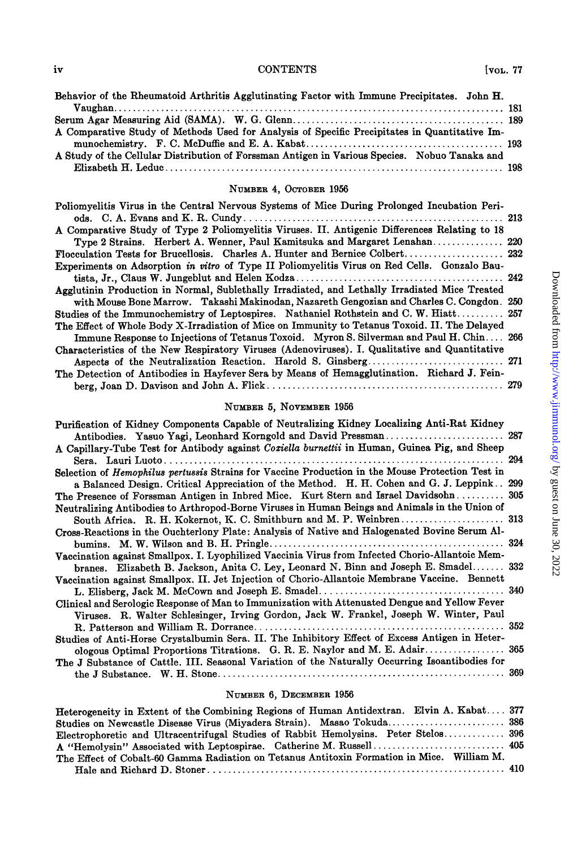### iv CONTENTS [voL. 77

| Behavior of the Rheumatoid Arthritis Agglutinating Factor with Immune Precipitates. John H.   |  |
|-----------------------------------------------------------------------------------------------|--|
|                                                                                               |  |
|                                                                                               |  |
| A Comparative Study of Methods Used for Analysis of Specific Precipitates in Quantitative Im- |  |
|                                                                                               |  |
| A Study of the Cellular Distribution of Forssman Antigen in Various Species. Nobuo Tanaka and |  |
|                                                                                               |  |

### **NUMBER 4, OCTOBER 1956**

| Poliomyelitis Virus in the Central Nervous Systems of Mice During Prolonged Incubation Peri-   |  |
|------------------------------------------------------------------------------------------------|--|
|                                                                                                |  |
| A Comparative Study of Type 2 Poliomyelitis Viruses. II. Antigenic Differences Relating to 18  |  |
| Type 2 Strains. Herbert A. Wenner, Paul Kamitsuka and Margaret Lenahan 220                     |  |
|                                                                                                |  |
| Experiments on Adsorption in vitro of Type II Poliomyelitis Virus on Red Cells. Gonzalo Bau-   |  |
|                                                                                                |  |
| Agglutinin Production in Normal, Sublethally Irradiated, and Lethally Irradiated Mice Treated  |  |
| with Mouse Bone Marrow. Takashi Makinodan, Nazareth Gengozian and Charles C. Congdon. 250      |  |
| Studies of the Immunochemistry of Leptospires. Nathaniel Rothstein and C. W. Hiatt 257         |  |
| The Effect of Whole Body X-Irradiation of Mice on Immunity to Tetanus Toxoid. II. The Delayed  |  |
| Immune Response to Injections of Tetanus Toxoid. Myron S. Silverman and Paul H. Chin 266       |  |
| Characteristics of the New Respiratory Viruses (Adenoviruses). I. Qualitative and Quantitative |  |
|                                                                                                |  |
| The Detection of Antibodies in Hayfever Sera by Means of Hemagglutination. Richard J. Fein-    |  |
|                                                                                                |  |
|                                                                                                |  |

## **NUMBER 5, NOVEMBER 1956**

| Purification of Kidney Components Capable of Neutralizing Kidney Localizing Anti-Rat Kidney      |  |
|--------------------------------------------------------------------------------------------------|--|
| Antibodies. Yasuo Yagi, Leonhard Korngold and David Pressman 287                                 |  |
| A Capillary-Tube Test for Antibody against Coxiella burnettii in Human, Guinea Pig, and Sheep    |  |
|                                                                                                  |  |
| Selection of Hemophilus pertussis Strains for Vaccine Production in the Mouse Protection Test in |  |
| a Balanced Design. Critical Appreciation of the Method. H. H. Cohen and G. J. Leppink 299        |  |
| The Presence of Forssman Antigen in Inbred Mice. Kurt Stern and Israel Davidsohn 305             |  |
| Neutralizing Antibodies to Arthropod-Borne Viruses in Human Beings and Animals in the Union of   |  |
|                                                                                                  |  |
| Cross-Reactions in the Ouchterlony Plate: Analysis of Native and Halogenated Bovine Serum Al-    |  |
|                                                                                                  |  |
| Vaccination against Smallpox. I. Lyophilized Vaccinia Virus from Infected Chorio-Allantoic Mem-  |  |
| branes. Elizabeth B. Jackson, Anita C. Ley, Leonard N. Binn and Joseph E. Smadel 332             |  |
| Vaccination against Smallpox. II. Jet Injection of Chorio-Allantoic Membrane Vaccine. Bennett    |  |
|                                                                                                  |  |
| Clinical and Serologic Response of Man to Immunization with Attenuated Dengue and Yellow Fever   |  |
| Viruses. R. Walter Schlesinger, Irving Gordon, Jack W. Frankel, Joseph W. Winter, Paul           |  |
|                                                                                                  |  |
| Studies of Anti-Horse Crystalbumin Sera. II. The Inhibitory Effect of Excess Antigen in Heter-   |  |
| ologous Optimal Proportions Titrations. G. R. E. Naylor and M. E. Adair 365                      |  |
| The J Substance of Cattle. III. Seasonal Variation of the Naturally Occurring Isoantibodies for  |  |
|                                                                                                  |  |

#### **NUMBER 6, DECEMBER 1956**

| Heterogeneity in Extent of the Combining Regions of Human Antidextran. Elvin A. Kabat 377  |  |
|--------------------------------------------------------------------------------------------|--|
| Studies on Newcastle Disease Virus (Miyadera Strain). Masao Tokuda 386                     |  |
| Electrophoretic and Ultracentrifugal Studies of Rabbit Hemolysins. Peter Stelos 396        |  |
| A "Hemolysin" Associated with Leptospirae. Catherine M. Russell 405                        |  |
| The Effect of Cobalt-60 Gamma Radiation on Tetanus Antitoxin Formation in Mice. William M. |  |
|                                                                                            |  |